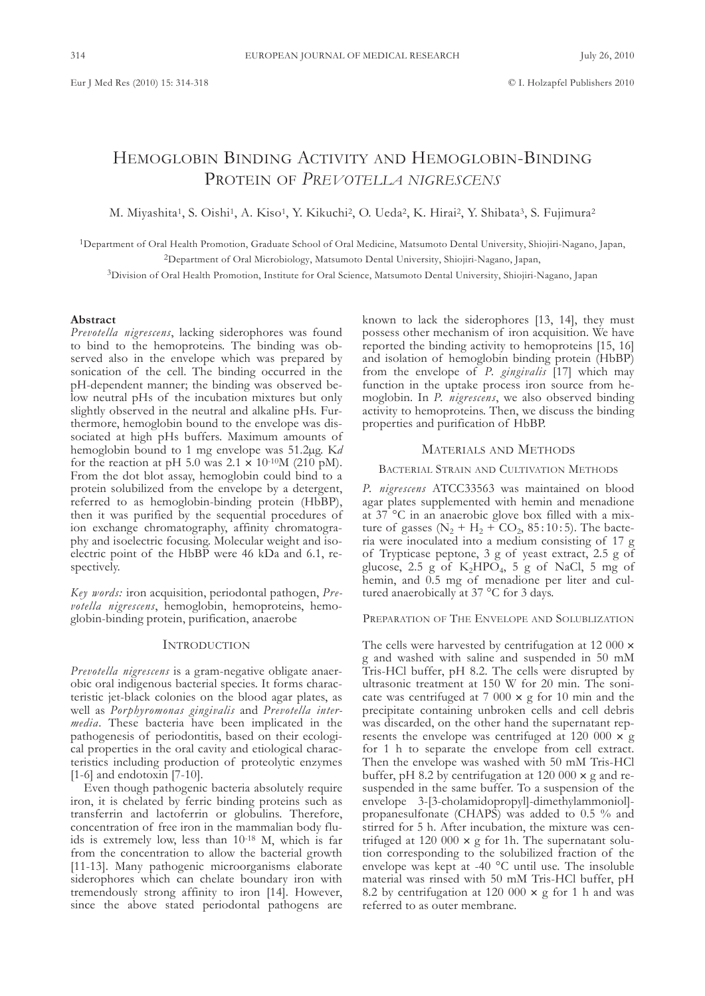# HEMoglobIn bIndIng ActIvIty And HEMoglobIn-bIndIng PRotEIn of *Prevotella nigrescens*

M. Miyashita<sup>1</sup>, S. Oishi<sup>1</sup>, A. Kiso<sup>1</sup>, Y. Kikuchi<sup>2</sup>, O. Ueda<sup>2</sup>, K. Hirai<sup>2</sup>, Y. Shibata<sup>3</sup>, S. Fujimura<sup>2</sup>

<sup>1</sup>Department of Oral Health Promotion, Graduate School of Oral Medicine, Matsumoto Dental University, Shiojiri-Nagano, Japan, <sup>2</sup>Department of Oral Microbiology, Matsumoto Dental University, Shiojiri-Nagano, Japan,

<sup>3</sup>Division of Oral Health Promotion, Institute for Oral Science, Matsumoto Dental University, Shiojiri-Nagano, Japan

#### **Abstract**

*Prevotella nigrescens*, lacking siderophores was found to bind to the hemoproteins. The binding was observed also in the envelope which was prepared by sonication of the cell. The binding occurred in the pH-dependent manner; the binding was observed below neutral pHs of the incubation mixtures but only slightly observed in the neutral and alkaline pHs. furthermore, hemoglobin bound to the envelope was dissociated at high pHs buffers. Maximum amounts of hemoglobin bound to 1 mg envelope was 51.2µg. K*d* for the reaction at pH 5.0 was  $2.1 \times 10^{-10}$ M (210 pM). from the dot blot assay, hemoglobin could bind to a protein solubilized from the envelope by a detergent, referred to as hemoglobin-binding protein (HbBP), then it was purified by the sequential procedures of ion exchange chromatography, affinity chromatography and isoelectric focusing. Molecular weight and isoelectric point of the HbBP were  $46$  kDa and  $6.1$ , respectively.

*Key words:* iron acquisition, periodontal pathogen, *Prevotella nigrescens*, hemoglobin, hemoproteins, hemoglobin-binding protein, purification, anaerobe

### **INTRODUCTION**

*Prevotella nigrescens* is a gram-negative obligate anaerobic oral indigenous bacterial species. It forms characteristic jet-black colonies on the blood agar plates, as well as *Por phyromonas gingivalis* and *Prevotella inter*media. These bacteria have been implicated in the pathogenesis of periodontitis, based on their ecological properties in the oral cavity and etiological characteristics including production of proteolytic enzymes [1-6] and endotoxin [7-10].

Even though pathogenic bacteria absolutely require iron, it is chelated by ferric binding proteins such as transferrin and lactoferrin or globulins. Therefore, concentration of free iron in the mammalian body fluids is extremely low, less than 10-18 M, which is far from the concentration to allow the bacterial growth [11-13]. Many pathogenic microorganisms elaborate siderophores which can chelate boundary iron with tremendously strong affinity to iron [14]. However, since the above stated periodontal pathogens are

known to lack the siderophores [13, 14], they must possess other mechanism of iron acquisition. We have reported the binding activity to hemoproteins [15, 16] and isolation of hemoglobin binding protein (HbbP) from the envelope of *P. gingivalis* [17] which may function in the uptake process iron source from hemoglobin. In *P. nigrescens*, we also observed binding activity to hemoproteins. Then, we discuss the binding properties and purification of HbbP.

## MAtERIAlS And MEtHodS

#### BACTERIAL STRAIN AND CULTIVATION METHODS

P. nigrescens ATCC33563 was maintained on blood agar plates supplemented with hemin and menadione at 37 °c in an anaerobic glove box filled with a mixture of gasses ( $N_2 + H_2 + CO_2$ , 85:10:5). The bacteria were inoculated into a medium consisting of 17 g of trypticase peptone, 3 g of yeast extract, 2.5 g of glucose, 2.5 g of  $K_2HPO_4$ , 5 g of NaCl, 5 mg of hemin, and 0.5 mg of menadione per liter and cultured anaerobically at 37 °C for 3 days.

PREPARATION OF THE ENVELOPE AND SOLUBLIZATION

The cells were harvested by centrifugation at 12 000  $\times$ g and washed with saline and suspended in 50 mM Tris-HCl buffer, pH 8.2. The cells were disrupted by ultrasonic treatment at 150 W for 20 min. The sonicate was centrifuged at  $7000 \times g$  for 10 min and the precipitate containing unbroken cells and cell debris was discarded, on the other hand the supernatant represents the envelope was centrifuged at 120 000  $\times$  g for 1 h to separate the envelope from cell extract. Then the envelope was washed with 50 mM Tris-HCl buffer, pH 8.2 by centrifugation at 120 000  $\times$  g and resuspended in the same buffer. To a suspension of the envelope 3-[3-cholamidopropyl]-dimethylammoniol] propanesulfonate (cHAPS) was added to 0.5 % and stirred for 5 h. After incubation, the mixture was centrifuged at 120 000  $\times$  g for 1h. The supernatant solution corresponding to the solubilized fraction of the envelope was kept at -40  $^{\circ}$ C until use. The insoluble material was rinsed with 50 mM Tris-HCl buffer, pH 8.2 by centrifugation at 120 000  $\times$  g for 1 h and was referred to as outer membrane.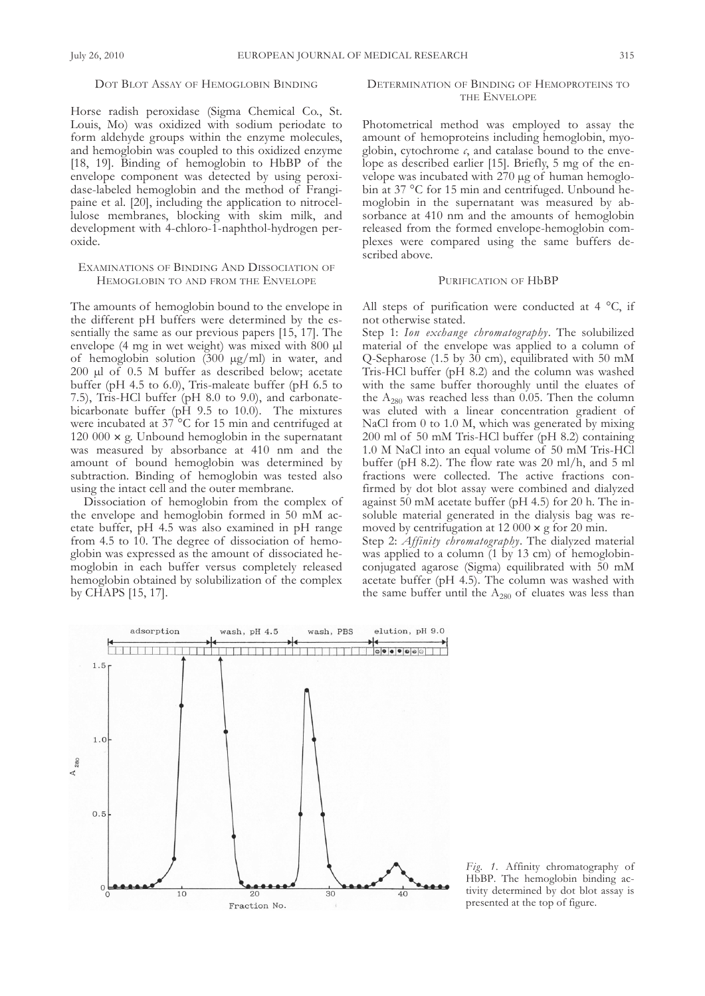## DOT BLOT ASSAY OF HEMOGLOBIN BINDING

Horse radish peroxidase (Sigma chemical co., St. louis, Mo) was oxidized with sodium periodate to form aldehyde groups within the enzyme molecules, and hemoglobin was coupled to this oxidized enzyme [18, 19]. Binding of hemoglobin to HbBP of the envelope component was detected by using peroxidase-labeled hemoglobin and the method of frangipaine et al. [20], including the application to nitrocellulose membranes, blocking with skim milk, and development with 4-chloro-1-naphthol-hydrogen peroxide.

## EXAMINATIONS OF BINDING AND DISSOCIATION OF HEMOGLOBIN TO AND FROM THE ENVELOPE

The amounts of hemoglobin bound to the envelope in the different pH buffers were determined by the essentially the same as our previous papers [15, 17]. The envelope (4 mg in wet weight) was mixed with 800 µl of hemoglobin solution (300 µg/ml) in water, and 200 µl of 0.5 M buffer as described below; acetate buffer (pH 4.5 to 6.0), Tris-maleate buffer (pH 6.5 to 7.5), Tris-HCl buffer (pH 8.0 to 9.0), and carbonatebicarbonate buffer (pH 9.5 to 10.0). The mixtures were incubated at  $37^{\circ}$ C for 15 min and centrifuged at 120 000  $\times$  g. Unbound hemoglobin in the supernatant was measured by absorbance at 410 nm and the amount of bound hemoglobin was determined by subtraction. Binding of hemoglobin was tested also using the intact cell and the outer membrane.

Dissociation of hemoglobin from the complex of the envelope and hemoglobin formed in 50 mM acetate buffer, pH 4.5 was also examined in pH range from 4.5 to 10. The degree of dissociation of hemoglobin was expressed as the amount of dissociated hemoglobin in each buffer versus completely released hemoglobin obtained by solubilization of the complex by cHAPS [15, 17].

## DETERMINATION OF BINDING OF HEMOPROTEINS TO THE ENVELOPE

Photometrical method was employed to assay the amount of hemoproteins including hemoglobin, myoglobin, cytochrome  $c$ , and catalase bound to the envelope as described earlier [15]. Briefly, 5 mg of the envelope was incubated with 270 µg of human hemoglobin at 37 °C for 15 min and centrifuged. Unbound hemoglobin in the supernatant was measured by absorbance at 410 nm and the amounts of hemoglobin released from the formed envelope-hemoglobin complexes were compared using the same buffers described above.

#### PURIFICATION OF HbBP

All steps of purification were conducted at  $4^{\circ}$ C, if not otherwise stated.

Step 1: *Ion exchange chromatography*. The solubilized material of the envelope was applied to a column of Q-Sepharose (1.5 by 30 cm), equilibrated with 50 mM Tris-HCl buffer (pH 8.2) and the column was washed with the same buffer thoroughly until the eluates of the  $A_{280}$  was reached less than 0.05. Then the column was eluted with a linear concentration gradient of NaCl from  $0$  to 1.0 M, which was generated by mixing 200 ml of 50 mM Tris-HCl buffer (pH 8.2) containing 1.0 M NaCl into an equal volume of 50 mM Tris-HCl buffer (pH 8.2). The flow rate was 20 ml/h, and 5 ml fractions were collected. The active fractions confirmed by dot blot assay were combined and dialyzed against 50 mM acetate buffer (pH 4.5) for 20 h. The insoluble material generated in the dialysis bag was removed by centrifugation at 12 000  $\times$  g for 20 min.

Step 2: *Affinity chromatography*. The dialyzed material was applied to a column (1 by 13 cm) of hemoglobinconjugated agarose (Sigma) equilibrated with 50 mM acetate buffer ( $pH$  4.5). The column was washed with the same buffer until the  $A_{280}$  of eluates was less than



*Fig. 1.* Affinity chromatography of HbBP. The hemoglobin binding activity determined by dot blot assay is presented at the top of figure.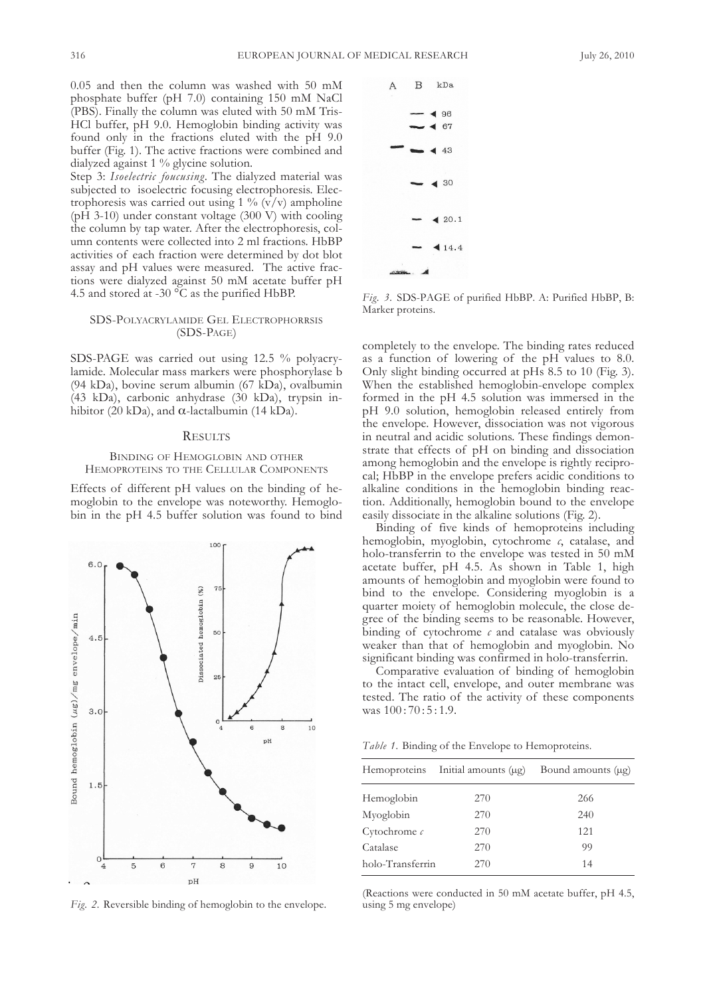0.05 and then the column was washed with 50 mM phosphate buffer (pH 7.0) containing 150 mM NaCl (PBS). Finally the column was eluted with 50 mM Tris-Hcl buffer, pH 9.0. Hemoglobin binding activity was found only in the fractions eluted with the pH 9.0 buffer (Fig. 1). The active fractions were combined and dialyzed against 1 % glycine solution.

Step 3: *Isoelectric foucusing*. The dialyzed material was subjected to isoelectric focusing electrophoresis. Electrophoresis was carried out using 1 %  $(v/v)$  ampholine ( $pH$  3-10) under constant voltage (300 V) with cooling the column by tap water. After the electrophoresis, column contents were collected into 2 ml fractions. HbBP activities of each fraction were determined by dot blot assay and pH values were measured. The active fractions were dialyzed against 50 mM acetate buffer pH 4.5 and stored at -30  $\degree$ C as the purified HbBP.

## SDS-POLYACRYLAMIDE GEL ELECTROPHORRSIS (SDS-PAGE)

SDS-PAGE was carried out using 12.5 % polyacrylamide. Molecular mass markers were phosphorylase b (94 kDa), bovine serum albumin (67 kDa), ovalbumin (43 kDa), carbonic anhydrase (30 kDa), trypsin inhibitor (20 kDa), and  $\alpha$ -lactalbumin (14 kDa).

#### **RESULTS**

### BINDING OF HEMOGLOBIN AND OTHER HEMOPROTEINS TO THE CELLULAR COMPONENTS

Effects of different pH values on the binding of hemoglobin to the envelope was noteworthy. Hemoglobin in the pH 4.5 buffer solution was found to bind



*Fig. 2.* Reversible binding of hemoglobin to the envelope.



*Fig. 3.* SdS-PAgE of purified HbbP. A: Purified HbbP, b: Marker proteins.

completely to the envelope. The binding rates reduced as a function of lowering of the pH values to 8.0. Only slight binding occurred at  $pHs$  8.5 to 10 (Fig. 3). When the established hemoglobin-envelope complex formed in the pH 4.5 solution was immersed in the pH 9.0 solution, hemoglobin released entirely from the envelope. However, dissociation was not vigorous in neutral and acidic solutions. These findings demonstrate that effects of pH on binding and dissociation among hemoglobin and the envelope is rightly reciprocal; HbbP in the envelope prefers acidic conditions to alkaline conditions in the hemoglobin binding reaction. Additionally, hemoglobin bound to the envelope easily dissociate in the alkaline solutions (fig. 2).

binding of five kinds of hemoproteins including hemoglobin, myoglobin, cytochrome *c*, catalase, and holo-transferrin to the envelope was tested in 50 mM acetate buffer, pH 4.5. As shown in Table 1, high amounts of hemoglobin and myoglobin were found to bind to the envelope. Considering myoglobin is a quarter moiety of hemoglobin molecule, the close degree of the binding seems to be reasonable. However, binding of cytochrome  $c$  and catalase was obviously weaker than that of hemoglobin and myoglobin. No significant binding was confirmed in holo-transferrin.

comparative evaluation of binding of hemoglobin to the intact cell, envelope, and outer membrane was tested. the ratio of the activity of these components was  $100:70:5:1.9$ .

Table 1. Binding of the Envelope to Hemoproteins.

|                  | Hemoproteins Initial amounts (µg) | Bound amounts (μg) |
|------------------|-----------------------------------|--------------------|
| Hemoglobin       | 270                               | 266                |
| Myoglobin        | 270                               | 240                |
| Cytochrome $c$   | 270                               | 121                |
| Catalase         | 270                               | 99                 |
| holo-Transferrin | 270                               | 14                 |

(Reactions were conducted in 50 mM acetate buffer, pH 4.5, using 5 mg envelope)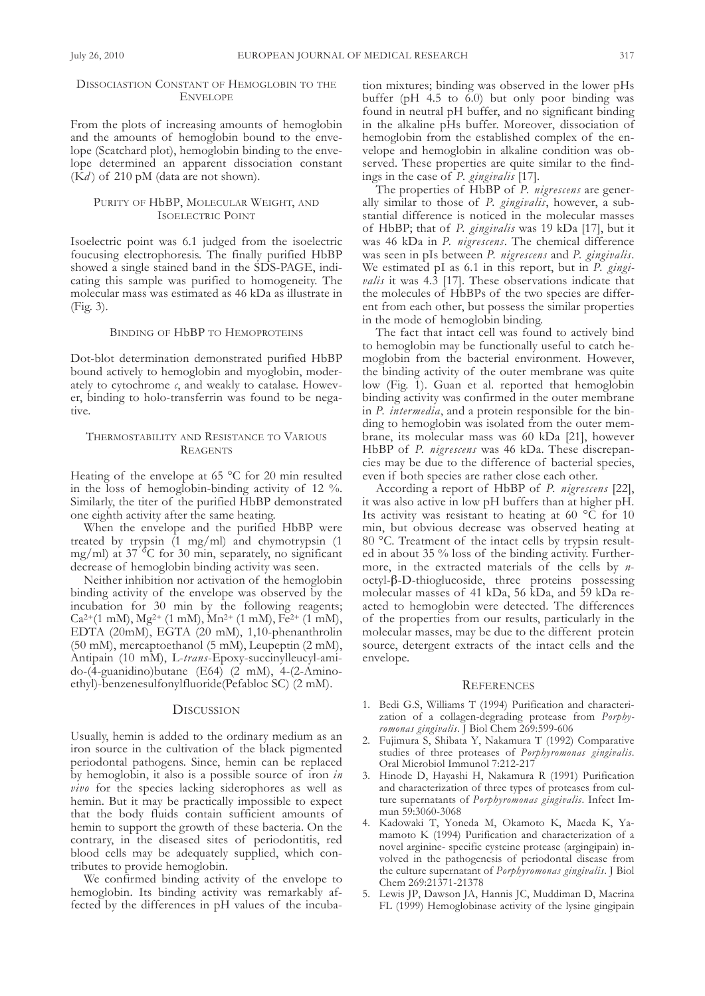## DISSOCIASTION CONSTANT OF HEMOGLOBIN TO THE **ENVELOPE**

from the plots of increasing amounts of hemoglobin and the amounts of hemoglobin bound to the envelope (Scatchard plot), hemoglobin binding to the envelope determined an apparent dissociation constant  $(Kd)$  of 210 pM (data are not shown).

### PURITY OF HbBP, MOLECULAR WEIGHT, AND ISoElEctRIc PoInt

Isoelectric point was 6.1 judged from the isoelectric foucusing electrophoresis. The finally purified HbBP showed a single stained band in the SDS-PAGE, indicating this sample was purified to homogeneity. The molecular mass was estimated as 46 kDa as illustrate in (fig. 3).

#### BINDING OF HbBP TO HEMOPROTEINS

Dot-blot determination demonstrated purified HbBP bound actively to hemoglobin and myoglobin, moderately to cytochrome  $c$ , and weakly to catalase. However, binding to holo-transferrin was found to be negative.

### THERMOSTABILITY AND RESISTANCE TO VARIOUS **REAGENTS**

Heating of the envelope at 65 °C for 20 min resulted in the loss of hemoglobin-binding activity of 12 %. Similarly, the titer of the purified HbbP demonstrated one eighth activity after the same heating.

When the envelope and the purified HbBP were treated by trypsin (1 mg/ml) and chymotrypsin (1 mg/ml) at 37 °c for 30 min, separately, no significant decrease of hemoglobin binding activity was seen.

Neither inhibition nor activation of the hemoglobin binding activity of the envelope was observed by the incubation for 30 min by the following reagents;  $Ca^{2+}(1 \text{ mM})$ ,  $Mg^{2+}(1 \text{ mM})$ ,  $Mn^{2+}(1 \text{ mM})$ ,  $Fe^{2+}(1 \text{ mM})$ , EDTA (20mM), EGTA (20 mM), 1,10-phenanthrolin (50 mM), mercaptoethanol (5 mM), leupeptin (2 mM), Antipain (10 mM), l-*trans*-Epoxy-succinylleucyl-amido-(4-guanidino)butane (E64) (2 mM), 4-(2-Aminoethyl)-benzenesulfonylfluoride(Pefabloc Sc) (2 mM).

#### **DISCUSSION**

Usually, hemin is added to the ordinary medium as an iron source in the cultivation of the black pigmented periodontal pathogens. Since, hemin can be replaced by hemoglobin, it also is a possible source of iron *in vivo* for the species lacking siderophores as well as hemin. but it may be practically impossible to expect that the body fluids contain sufficient amounts of hemin to support the growth of these bacteria. On the contrary, in the diseased sites of periodontitis, red blood cells may be adequately supplied, which contributes to provide hemoglobin.

We confirmed binding activity of the envelope to hemoglobin. Its binding activity was remarkably affected by the differences in pH values of the incuba-

tion mixtures; binding was observed in the lower pHs buffer ( $pH$  4.5 to  $6.0$ ) but only poor binding was found in neutral pH buffer, and no significant binding in the alkaline pHs buffer. Moreover, dissociation of hemoglobin from the established complex of the envelope and hemoglobin in alkaline condition was observed. These properties are quite similar to the findings in the case of *P. gingivalis* [17].

The properties of HbBP of *P. nigrescens* are generally similar to those of *P. gingivalis*, however, a substantial difference is noticed in the molecular masses of HbBP; that of *P. gingivalis* was 19 kDa [17], but it was 46 kDa in *P. nigrescens*. The chemical difference was seen in pIs between *P. nigrescens* and *P. gingivalis*. We estimated pI as 6.1 in this report, but in *P. gingivalis* it was 4.3 [17]. These observations indicate that the molecules of HbbPs of the two species are different from each other, but possess the similar properties in the mode of hemoglobin binding.

The fact that intact cell was found to actively bind to hemoglobin may be functionally useful to catch hemoglobin from the bacterial environment. However, the binding activity of the outer membrane was quite low (Fig. 1). Guan et al. reported that hemoglobin binding activity was confirmed in the outer membrane in *P. intermedia*, and a protein responsible for the binding to hemoglobin was isolated from the outer membrane, its molecular mass was  $60$  kDa [21], however HbBP of *P. nigrescens* was 46 kDa. These discrepancies may be due to the difference of bacterial species, even if both species are rather close each other.

According a report of HbbP of *P. nigrescens* [22], it was also active in low pH buffers than at higher pH. Its activity was resistant to heating at 60  $\rm{^o}\bar{C}$  for 10 min, but obvious decrease was observed heating at 80 °C. Treatment of the intact cells by trypsin resulted in about 35 % loss of the binding activity. furthermore, in the extracted materials of the cells by *n* $octyl-\beta-D-thioglucoside$ , three proteins possessing molecular masses of 41 kDa, 56 kDa, and 59 kDa reacted to hemoglobin were detected. The differences of the properties from our results, particularly in the molecular masses, may be due to the different protein source, detergent extracts of the intact cells and the envelope.

#### **REFERENCES**

- 1. Bedi G.S, Williams T (1994) Purification and characterization of a collagen-degrading protease from *Porphyromonas gingivalis*. J biol chem 269:599-606
- 2. Fujimura S, Shibata Y, Nakamura T (1992) Comparative studies of three proteases of *Porphyromonas gingivalis*. oral Microbiol Immunol 7:212-217
- 3. Hinode D, Hayashi H, Nakamura R (1991) Purification and characterization of three types of proteases from culture supernatants of *Porphyromonas gingivalis*. Infect Immun 59:3060-3068
- 4. Kadowaki t, yoneda M, okamoto K, Maeda K, yamamoto K (1994) Purification and characterization of a novel arginine- specific cysteine protease (argingipain) involved in the pathogenesis of periodontal disease from the culture supernatant of *Porphyromonas gingivalis*. J biol chem 269:21371-21378
- 5. Lewis JP, Dawson JA, Hannis JC, Muddiman D, Macrina fl (1999) Hemoglobinase activity of the lysine gingipain